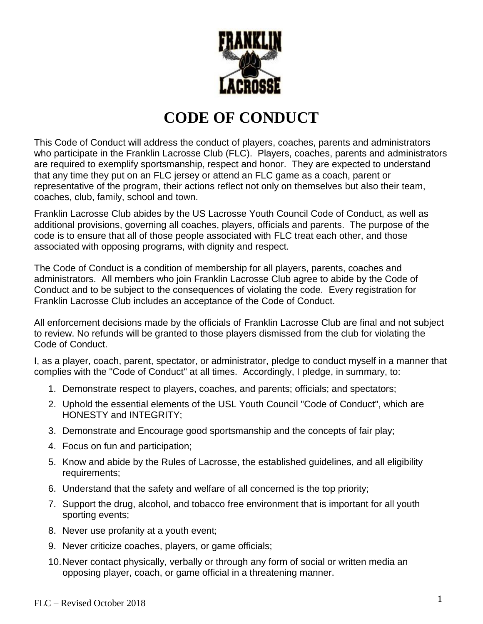

# **CODE OF CONDUCT**

This Code of Conduct will address the conduct of players, coaches, parents and administrators who participate in the Franklin Lacrosse Club (FLC). Players, coaches, parents and administrators are required to exemplify sportsmanship, respect and honor. They are expected to understand that any time they put on an FLC jersey or attend an FLC game as a coach, parent or representative of the program, their actions reflect not only on themselves but also their team, coaches, club, family, school and town.

Franklin Lacrosse Club abides by the US Lacrosse Youth Council Code of Conduct, as well as additional provisions, governing all coaches, players, officials and parents. The purpose of the code is to ensure that all of those people associated with FLC treat each other, and those associated with opposing programs, with dignity and respect.

The Code of Conduct is a condition of membership for all players, parents, coaches and administrators. All members who join Franklin Lacrosse Club agree to abide by the Code of Conduct and to be subject to the consequences of violating the code. Every registration for Franklin Lacrosse Club includes an acceptance of the Code of Conduct.

All enforcement decisions made by the officials of Franklin Lacrosse Club are final and not subject to review. No refunds will be granted to those players dismissed from the club for violating the Code of Conduct.

I, as a player, coach, parent, spectator, or administrator, pledge to conduct myself in a manner that complies with the "Code of Conduct" at all times. Accordingly, I pledge, in summary, to:

- 1. Demonstrate respect to players, coaches, and parents; officials; and spectators;
- 2. Uphold the essential elements of the USL Youth Council "Code of Conduct", which are HONESTY and INTEGRITY;
- 3. Demonstrate and Encourage good sportsmanship and the concepts of fair play;
- 4. Focus on fun and participation;
- 5. Know and abide by the Rules of Lacrosse, the established guidelines, and all eligibility requirements;
- 6. Understand that the safety and welfare of all concerned is the top priority;
- 7. Support the drug, alcohol, and tobacco free environment that is important for all youth sporting events;
- 8. Never use profanity at a youth event;
- 9. Never criticize coaches, players, or game officials;
- 10.Never contact physically, verbally or through any form of social or written media an opposing player, coach, or game official in a threatening manner.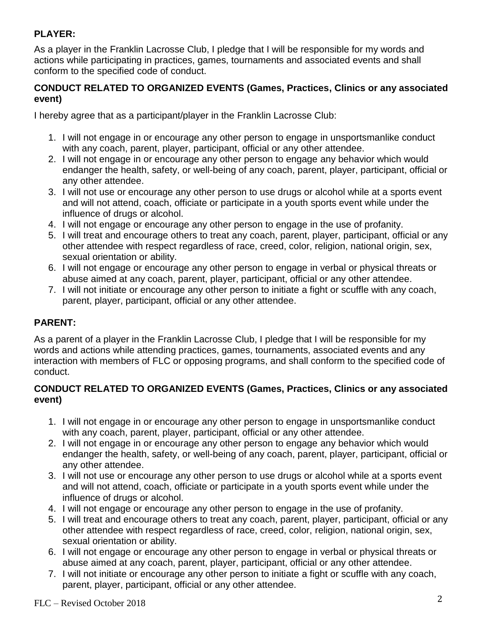## **PLAYER:**

As a player in the Franklin Lacrosse Club, I pledge that I will be responsible for my words and actions while participating in practices, games, tournaments and associated events and shall conform to the specified code of conduct.

#### **CONDUCT RELATED TO ORGANIZED EVENTS (Games, Practices, Clinics or any associated event)**

I hereby agree that as a participant/player in the Franklin Lacrosse Club:

- 1. I will not engage in or encourage any other person to engage in unsportsmanlike conduct with any coach, parent, player, participant, official or any other attendee.
- 2. I will not engage in or encourage any other person to engage any behavior which would endanger the health, safety, or well-being of any coach, parent, player, participant, official or any other attendee.
- 3. I will not use or encourage any other person to use drugs or alcohol while at a sports event and will not attend, coach, officiate or participate in a youth sports event while under the influence of drugs or alcohol.
- 4. I will not engage or encourage any other person to engage in the use of profanity.
- 5. I will treat and encourage others to treat any coach, parent, player, participant, official or any other attendee with respect regardless of race, creed, color, religion, national origin, sex, sexual orientation or ability.
- 6. I will not engage or encourage any other person to engage in verbal or physical threats or abuse aimed at any coach, parent, player, participant, official or any other attendee.
- 7. I will not initiate or encourage any other person to initiate a fight or scuffle with any coach, parent, player, participant, official or any other attendee.

## **PARENT:**

As a parent of a player in the Franklin Lacrosse Club, I pledge that I will be responsible for my words and actions while attending practices, games, tournaments, associated events and any interaction with members of FLC or opposing programs, and shall conform to the specified code of conduct.

#### **CONDUCT RELATED TO ORGANIZED EVENTS (Games, Practices, Clinics or any associated event)**

- 1. I will not engage in or encourage any other person to engage in unsportsmanlike conduct with any coach, parent, player, participant, official or any other attendee.
- 2. I will not engage in or encourage any other person to engage any behavior which would endanger the health, safety, or well-being of any coach, parent, player, participant, official or any other attendee.
- 3. I will not use or encourage any other person to use drugs or alcohol while at a sports event and will not attend, coach, officiate or participate in a youth sports event while under the influence of drugs or alcohol.
- 4. I will not engage or encourage any other person to engage in the use of profanity.
- 5. I will treat and encourage others to treat any coach, parent, player, participant, official or any other attendee with respect regardless of race, creed, color, religion, national origin, sex, sexual orientation or ability.
- 6. I will not engage or encourage any other person to engage in verbal or physical threats or abuse aimed at any coach, parent, player, participant, official or any other attendee.
- 7. I will not initiate or encourage any other person to initiate a fight or scuffle with any coach, parent, player, participant, official or any other attendee.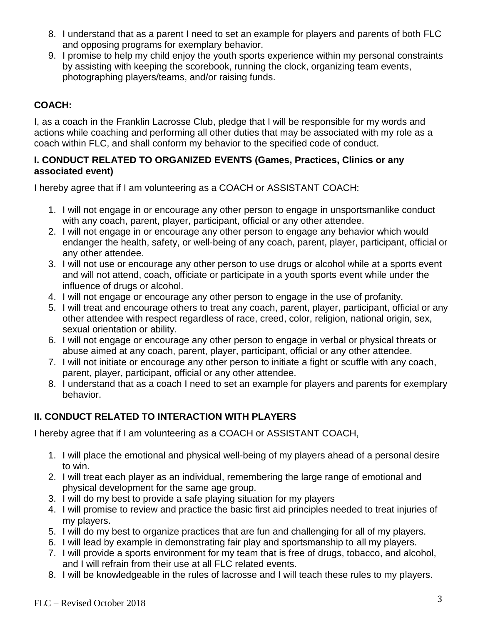- 8. I understand that as a parent I need to set an example for players and parents of both FLC and opposing programs for exemplary behavior.
- 9. I promise to help my child enjoy the youth sports experience within my personal constraints by assisting with keeping the scorebook, running the clock, organizing team events, photographing players/teams, and/or raising funds.

## **COACH:**

I, as a coach in the Franklin Lacrosse Club, pledge that I will be responsible for my words and actions while coaching and performing all other duties that may be associated with my role as a coach within FLC, and shall conform my behavior to the specified code of conduct.

#### **I. CONDUCT RELATED TO ORGANIZED EVENTS (Games, Practices, Clinics or any associated event)**

I hereby agree that if I am volunteering as a COACH or ASSISTANT COACH:

- 1. I will not engage in or encourage any other person to engage in unsportsmanlike conduct with any coach, parent, player, participant, official or any other attendee.
- 2. I will not engage in or encourage any other person to engage any behavior which would endanger the health, safety, or well-being of any coach, parent, player, participant, official or any other attendee.
- 3. I will not use or encourage any other person to use drugs or alcohol while at a sports event and will not attend, coach, officiate or participate in a youth sports event while under the influence of drugs or alcohol.
- 4. I will not engage or encourage any other person to engage in the use of profanity.
- 5. I will treat and encourage others to treat any coach, parent, player, participant, official or any other attendee with respect regardless of race, creed, color, religion, national origin, sex, sexual orientation or ability.
- 6. I will not engage or encourage any other person to engage in verbal or physical threats or abuse aimed at any coach, parent, player, participant, official or any other attendee.
- 7. I will not initiate or encourage any other person to initiate a fight or scuffle with any coach, parent, player, participant, official or any other attendee.
- 8. I understand that as a coach I need to set an example for players and parents for exemplary behavior.

## **II. CONDUCT RELATED TO INTERACTION WITH PLAYERS**

I hereby agree that if I am volunteering as a COACH or ASSISTANT COACH,

- 1. I will place the emotional and physical well-being of my players ahead of a personal desire to win.
- 2. I will treat each player as an individual, remembering the large range of emotional and physical development for the same age group.
- 3. I will do my best to provide a safe playing situation for my players
- 4. I will promise to review and practice the basic first aid principles needed to treat injuries of my players.
- 5. I will do my best to organize practices that are fun and challenging for all of my players.
- 6. I will lead by example in demonstrating fair play and sportsmanship to all my players.
- 7. I will provide a sports environment for my team that is free of drugs, tobacco, and alcohol, and I will refrain from their use at all FLC related events.
- 8. I will be knowledgeable in the rules of lacrosse and I will teach these rules to my players.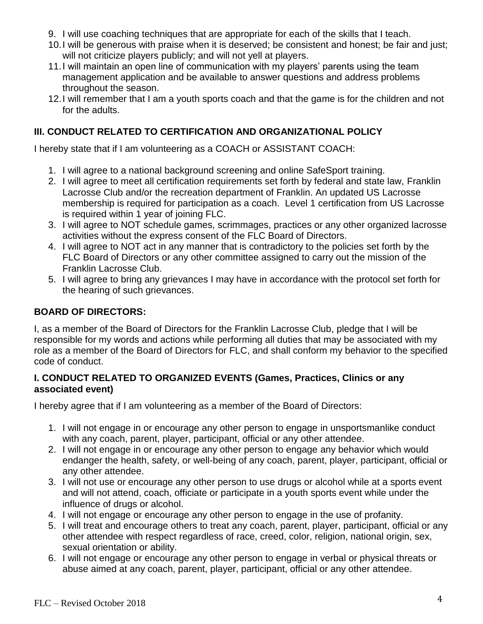- 9. I will use coaching techniques that are appropriate for each of the skills that I teach.
- 10.I will be generous with praise when it is deserved; be consistent and honest; be fair and just; will not criticize players publicly; and will not yell at players.
- 11.I will maintain an open line of communication with my players' parents using the team management application and be available to answer questions and address problems throughout the season.
- 12.I will remember that I am a youth sports coach and that the game is for the children and not for the adults.

## **III. CONDUCT RELATED TO CERTIFICATION AND ORGANIZATIONAL POLICY**

I hereby state that if I am volunteering as a COACH or ASSISTANT COACH:

- 1. I will agree to a national background screening and online SafeSport training.
- 2. I will agree to meet all certification requirements set forth by federal and state law, Franklin Lacrosse Club and/or the recreation department of Franklin. An updated US Lacrosse membership is required for participation as a coach. Level 1 certification from US Lacrosse is required within 1 year of joining FLC.
- 3. I will agree to NOT schedule games, scrimmages, practices or any other organized lacrosse activities without the express consent of the FLC Board of Directors.
- 4. I will agree to NOT act in any manner that is contradictory to the policies set forth by the FLC Board of Directors or any other committee assigned to carry out the mission of the Franklin Lacrosse Club.
- 5. I will agree to bring any grievances I may have in accordance with the protocol set forth for the hearing of such grievances.

#### **BOARD OF DIRECTORS:**

I, as a member of the Board of Directors for the Franklin Lacrosse Club, pledge that I will be responsible for my words and actions while performing all duties that may be associated with my role as a member of the Board of Directors for FLC, and shall conform my behavior to the specified code of conduct.

#### **I. CONDUCT RELATED TO ORGANIZED EVENTS (Games, Practices, Clinics or any associated event)**

I hereby agree that if I am volunteering as a member of the Board of Directors:

- 1. I will not engage in or encourage any other person to engage in unsportsmanlike conduct with any coach, parent, player, participant, official or any other attendee.
- 2. I will not engage in or encourage any other person to engage any behavior which would endanger the health, safety, or well-being of any coach, parent, player, participant, official or any other attendee.
- 3. I will not use or encourage any other person to use drugs or alcohol while at a sports event and will not attend, coach, officiate or participate in a youth sports event while under the influence of drugs or alcohol.
- 4. I will not engage or encourage any other person to engage in the use of profanity.
- 5. I will treat and encourage others to treat any coach, parent, player, participant, official or any other attendee with respect regardless of race, creed, color, religion, national origin, sex, sexual orientation or ability.
- 6. I will not engage or encourage any other person to engage in verbal or physical threats or abuse aimed at any coach, parent, player, participant, official or any other attendee.